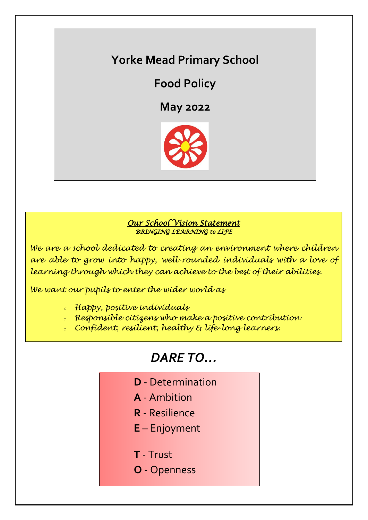## **Yorke Mead Primary School**

**Food Policy**

**May 2022**



## *Our School Vision Statement BRINGING LEARNING to LIFE*

*We are a school dedicated to creating an environment where children are able to grow into happy, well-rounded individuals with a love of learning through which they can achieve to the best of their abilities.*

*We want our pupils to enter the wider world as*

- *<sup>o</sup> Happy, positive individuals*
- *<sup>o</sup> Responsible citizens who make a positive contribution*
- *<sup>o</sup> Confident, resilient, healthy & life-long learners.*

# *DARE TO…*

- **D** Determination
- **A** Ambition
- **R** Resilience
- **E** Enjoyment
- **T** Trust
- **O** Openness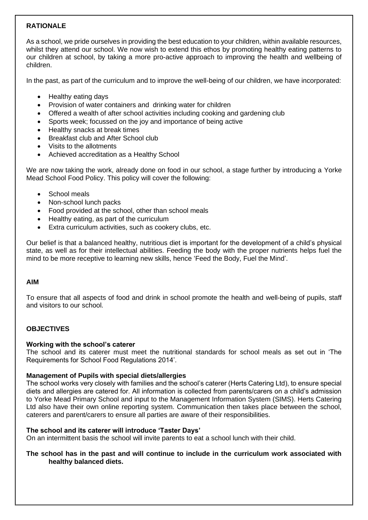## **RATIONALE**

As a school, we pride ourselves in providing the best education to your children, within available resources, whilst they attend our school. We now wish to extend this ethos by promoting healthy eating patterns to our children at school, by taking a more pro-active approach to improving the health and wellbeing of children.

In the past, as part of the curriculum and to improve the well-being of our children, we have incorporated:

- Healthy eating days
- Provision of water containers and drinking water for children
- Offered a wealth of after school activities including cooking and gardening club
- Sports week; focussed on the joy and importance of being active
- Healthy snacks at break times
- Breakfast club and After School club
- Visits to the allotments
- Achieved accreditation as a Healthy School

We are now taking the work, already done on food in our school, a stage further by introducing a Yorke Mead School Food Policy. This policy will cover the following:

- School meals
- Non-school lunch packs
- Food provided at the school, other than school meals
- Healthy eating, as part of the curriculum
- Extra curriculum activities, such as cookery clubs, etc.

Our belief is that a balanced healthy, nutritious diet is important for the development of a child's physical state, as well as for their intellectual abilities. Feeding the body with the proper nutrients helps fuel the mind to be more receptive to learning new skills, hence 'Feed the Body, Fuel the Mind'.

## **AIM**

To ensure that all aspects of food and drink in school promote the health and well-being of pupils, staff and visitors to our school.

## **OBJECTIVES**

#### **Working with the school's caterer**

The school and its caterer must meet the nutritional standards for school meals as set out in 'The Requirements for School Food Regulations 2014'.

#### **Management of Pupils with special diets/allergies**

The school works very closely with families and the school's caterer (Herts Catering Ltd), to ensure special diets and allergies are catered for. All information is collected from parents/carers on a child's admission to Yorke Mead Primary School and input to the Management Information System (SIMS). Herts Catering Ltd also have their own online reporting system. Communication then takes place between the school, caterers and parent/carers to ensure all parties are aware of their responsibilities.

#### **The school and its caterer will introduce 'Taster Days'**

On an intermittent basis the school will invite parents to eat a school lunch with their child.

#### **The school has in the past and will continue to include in the curriculum work associated with healthy balanced diets.**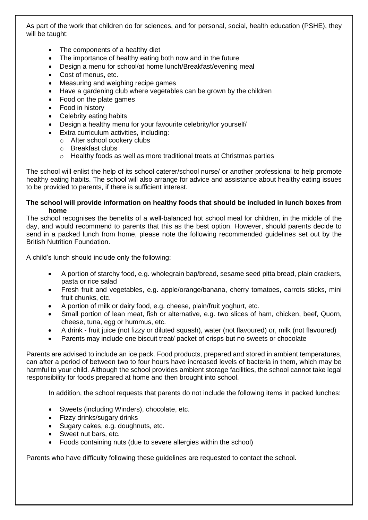As part of the work that children do for sciences, and for personal, social, health education (PSHE), they will be taught:

- The components of a healthy diet
- The importance of healthy eating both now and in the future
- Design a menu for school/at home lunch/Breakfast/evening meal
- Cost of menus, etc.
- Measuring and weighing recipe games
- Have a gardening club where vegetables can be grown by the children
- Food on the plate games
- Food in history
- Celebrity eating habits
- Design a healthy menu for your favourite celebrity/for yourself/
- Extra curriculum activities, including:
	- o After school cookery clubs
	- o Breakfast clubs
	- $\circ$  Healthy foods as well as more traditional treats at Christmas parties

The school will enlist the help of its school caterer/school nurse/ or another professional to help promote healthy eating habits. The school will also arrange for advice and assistance about healthy eating issues to be provided to parents, if there is sufficient interest.

### **The school will provide information on healthy foods that should be included in lunch boxes from home**

The school recognises the benefits of a well-balanced hot school meal for children, in the middle of the day, and would recommend to parents that this as the best option. However, should parents decide to send in a packed lunch from home, please note the following recommended guidelines set out by the British Nutrition Foundation.

A child's lunch should include only the following:

- A portion of starchy food, e.g. wholegrain bap/bread, sesame seed pitta bread, plain crackers, pasta or rice salad
- Fresh fruit and vegetables, e.g. apple/orange/banana, cherry tomatoes, carrots sticks, mini fruit chunks, etc.
- A portion of milk or dairy food, e.g. cheese, plain/fruit yoghurt, etc.
- Small portion of lean meat, fish or alternative, e.g. two slices of ham, chicken, beef, Quorn, cheese, tuna, egg or hummus, etc.
- A drink fruit juice (not fizzy or diluted squash), water (not flavoured) or, milk (not flavoured)
- Parents may include one biscuit treat/ packet of crisps but no sweets or chocolate

Parents are advised to include an ice pack. Food products, prepared and stored in ambient temperatures, can after a period of between two to four hours have increased levels of bacteria in them, which may be harmful to your child. Although the school provides ambient storage facilities, the school cannot take legal responsibility for foods prepared at home and then brought into school.

In addition, the school requests that parents do not include the following items in packed lunches:

- Sweets (including Winders), chocolate, etc.
- Fizzy drinks/sugary drinks
- Sugary cakes, e.g. doughnuts, etc.
- Sweet nut bars, etc.
- Foods containing nuts (due to severe allergies within the school)

Parents who have difficulty following these guidelines are requested to contact the school.